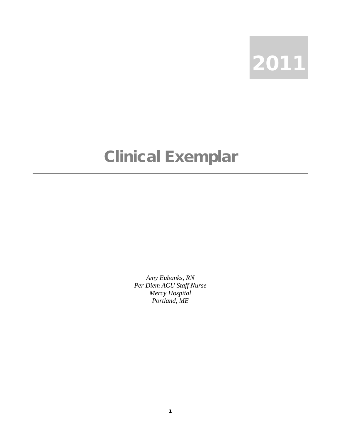

## Clinical Exemplar

*Amy Eubanks, RN Per Diem ACU Staff Nurse Mercy Hospital Portland, ME*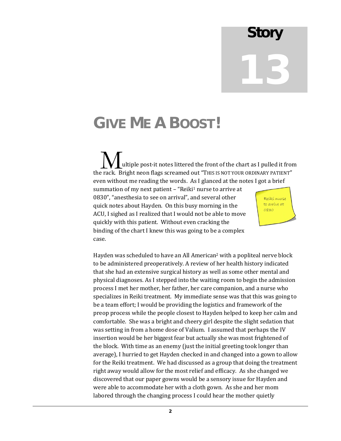## **Story**

# 13

## **GIVE ME A BOOST!**

 ultiple post-it notes littered the front of the chart as I pulled it from  $\sum_{\rm{ultiple\ post\text{-}it\ notes\ littered\ the\ front\ of\ the\ chart\ as\ I\ pulled\ it\ fro}}$ even without me reading the words. As I glanced at the notes I got a brief

summation of my next patient - "Reiki<sup>1</sup> nurse to arrive at 0830", "anesthesia to see on arrival", and several other quick notes about Hayden. On this busy morning in the ACU, I sighed as I realized that I would not be able to move quickly with this patient. Without even cracking the binding of the chart I knew this was going to be a complex case.



Hayden was scheduled to have an All American2 with a popliteal nerve block to be administered preoperatively. A review of her health history indicated that she had an extensive surgical history as well as some other mental and physical diagnoses. As I stepped into the waiting room to begin the admission process I met her mother, her father, her care companion, and a nurse who specializes in Reiki treatment. My immediate sense was that this was going to be a team effort; I would be providing the logistics and framework of the preop process while the people closest to Hayden helped to keep her calm and comfortable. She was a bright and cheery girl despite the slight sedation that was setting in from a home dose of Valium. I assumed that perhaps the IV insertion would be her biggest fear but actually she was most frightened of the block. With time as an enemy (just the initial greeting took longer than average), I hurried to get Hayden checked in and changed into a gown to allow for the Reiki treatment. We had discussed as a group that doing the treatment right away would allow for the most relief and efficacy. As she changed we discovered that our paper gowns would be a sensory issue for Hayden and were able to accommodate her with a cloth gown. As she and her mom labored through the changing process I could hear the mother quietly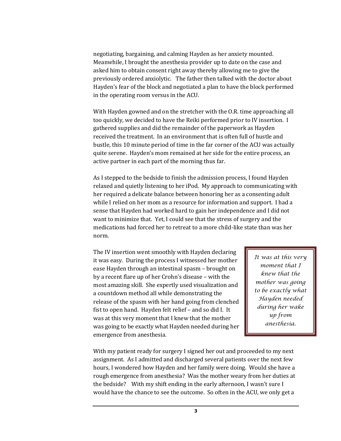negotiating, bargaining, and calming Hayden as her anxiety mounted. Meanwhile, I brought the anesthesia provider up to date on the case and asked him to obtain consent right away thereby allowing me to give the previously ordered anxiolytic. The father then talked with the doctor about Hayden's fear of the block and negotiated a plan to have the block performed in the operating room versus in the ACU.

With Hayden gowned and on the stretcher with the O.R. time approaching all too quickly, we decided to have the Reiki performed prior to IV insertion. I gathered supplies and did the remainder of the paperwork as Hayden received the treatment. In an environment that is often full of hustle and bustle, this 10 minute period of time in the far corner of the ACU was actually quite serene. Hayden's mom remained at her side for the entire process, an active partner in each part of the morning thus far.

As I stepped to the bedside to finish the admission process, I found Hayden relaxed and quietly listening to her iPod. My approach to communicating with her required a delicate balance between honoring her as a consenting adult while I relied on her mom as a resource for information and support. I had a sense that Hayden had worked hard to gain her independence and I did not want to minimize that. Yet, I could see that the stress of surgery and the medications had forced her to retreat to a more child-like state than was her norm.

The IV insertion went smoothly with Hayden declaring it was easy. During the process I witnessed her mother ease Hayden through an intestinal spasm – brought on by a recent flare up of her Crohn's disease – with the most amazing skill. She expertly used visualization and a countdown method all while demonstrating the release of the spasm with her hand going from clenched fist to open hand. Hayden felt relief – and so did I. It was at this very moment that I knew that the mother was going to be exactly what Hayden needed during her emergence from anesthesia.

*It was at this very moment that I knew that the mother was going to be exactly what Hayden needed during her wake up from anesthesia.*

With my patient ready for surgery I signed her out and proceeded to my next assignment. As I admitted and discharged several patients over the next few hours, I wondered how Hayden and her family were doing. Would she have a rough emergence from anesthesia? Was the mother weary from her duties at the bedside? With my shift ending in the early afternoon, I wasn't sure I would have the chance to see the outcome. So often in the ACU, we only get a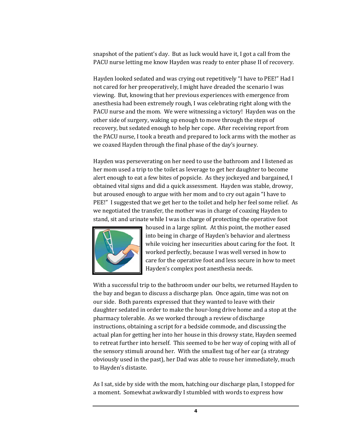snapshot of the patient's day. But as luck would have it, I got a call from the PACU nurse letting me know Hayden was ready to enter phase II of recovery.

Hayden looked sedated and was crying out repetitively "I have to PEE!" Had I not cared for her preoperatively, I might have dreaded the scenario I was viewing. But, knowing that her previous experiences with emergence from anesthesia had been extremely rough, I was celebrating right along with the PACU nurse and the mom. We were witnessing a victory! Hayden was on the other side of surgery, waking up enough to move through the steps of recovery, but sedated enough to help her cope. After receiving report from the PACU nurse, I took a breath and prepared to lock arms with the mother as we coaxed Hayden through the final phase of the day's journey.

Hayden was perseverating on her need to use the bathroom and I listened as her mom used a trip to the toilet as leverage to get her daughter to become alert enough to eat a few bites of popsicle. As they jockeyed and bargained, I obtained vital signs and did a quick assessment. Hayden was stable, drowsy, but aroused enough to argue with her mom and to cry out again "I have to PEE!" I suggested that we get her to the toilet and help her feel some relief. As we negotiated the transfer, the mother was in charge of coaxing Hayden to stand, sit and urinate while I was in charge of protecting the operative foot



housed in a large splint. At this point, the mother eased into being in charge of Hayden's behavior and alertness while voicing her insecurities about caring for the foot. It worked perfectly, because I was well versed in how to care for the operative foot and less secure in how to meet Hayden's complex post anesthesia needs.

With a successful trip to the bathroom under our belts, we returned Hayden to the bay and began to discuss a discharge plan. Once again, time was not on our side. Both parents expressed that they wanted to leave with their daughter sedated in order to make the hour-long drive home and a stop at the pharmacy tolerable. As we worked through a review of discharge instructions, obtaining a script for a bedside commode, and discussing the actual plan for getting her into her house in this drowsy state, Hayden seemed to retreat further into herself. This seemed to be her way of coping with all of the sensory stimuli around her. With the smallest tug of her ear (a strategy obviously used in the past), her Dad was able to rouse her immediately, much to Hayden's distaste.

As I sat, side by side with the mom, hatching our discharge plan, I stopped for a moment. Somewhat awkwardly I stumbled with words to express how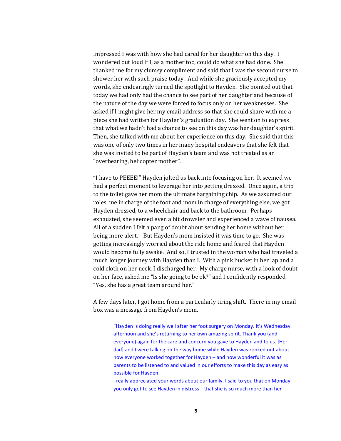impressed I was with how she had cared for her daughter on this day. I wondered out loud if I, as a mother too, could do what she had done. She thanked me for my clumsy compliment and said that I was the second nurse to shower her with such praise today. And while she graciously accepted my words, she endearingly turned the spotlight to Hayden. She pointed out that today we had only had the chance to see part of her daughter and because of the nature of the day we were forced to focus only on her weaknesses. She asked if I might give her my email address so that she could share with me a piece she had written for Hayden's graduation day. She went on to express that what we hadn't had a chance to see on this day was her daughter's spirit. Then, she talked with me about her experience on this day. She said that this was one of only two times in her many hospital endeavors that she felt that she was invited to be part of Hayden's team and was not treated as an "overbearing, helicopter mother".

"I have to PEEEE!" Hayden jolted us back into focusing on her. It seemed we had a perfect moment to leverage her into getting dressed. Once again, a trip to the toilet gave her mom the ultimate bargaining chip. As we assumed our roles, me in charge of the foot and mom in charge of everything else, we got Hayden dressed, to a wheelchair and back to the bathroom. Perhaps exhausted, she seemed even a bit drowsier and experienced a wave of nausea. All of a sudden I felt a pang of doubt about sending her home without her being more alert. But Hayden's mom insisted it was time to go. She was getting increasingly worried about the ride home and feared that Hayden would become fully awake. And so, I trusted in the woman who had traveled a much longer journey with Hayden than I. With a pink bucket in her lap and a cold cloth on her neck, I discharged her. My charge nurse, with a look of doubt on her face, asked me "Is she going to be ok?" and I confidently responded "Yes, she has a great team around her."

A few days later, I got home from a particularly tiring shift. There in my email box was a message from Hayden's mom.

"Hayden is doing really well after her foot surgery on Monday. It's Wednesday afternoon and she's returning to her own amazing spirit. Thank you (and everyone) again for the care and concern you gave to Hayden and to us. [Her dad] and I were talking on the way home while Hayden was zonked out about how everyone worked together for Hayden – and how wonderful it was as parents to be listened to and valued in our efforts to make this day as easy as possible for Hayden.

I really appreciated your words about our family. I said to you that on Monday you only got to see Hayden in distress – that she is so much more than her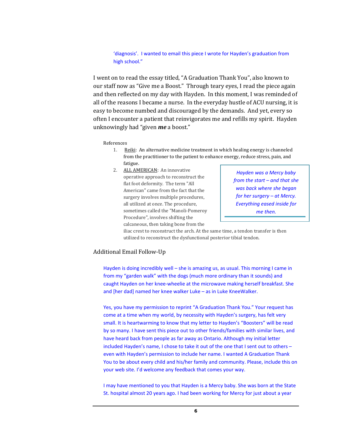#### 'diagnosis'. I wanted to email this piece I wrote for Hayden's graduation from high school."

I went on to read the essay titled, "A Graduation Thank You", also known to our staff now as "Give me a Boost." Through teary eyes, I read the piece again and then reflected on my day with Hayden. In this moment, I was reminded of all of the reasons I became a nurse. In the everyday hustle of ACU nursing, it is easy to become numbed and discouraged by the demands. And yet, every so often I encounter a patient that reinvigorates me and refills my spirit. Hayden unknowingly had "given *me* a boost."

References

- 1. <u>Reiki</u>: An alternative medicine treatment in which healing energy is channeled fatigue. from the practitioner to the patient to enhance energy, reduce stress, pain, and
- 2. ALL AMERICAN: An innovative operative approach to reconstruct the flat foot deformity. The term "All American" came from the fact that the surgery involves multiple procedures, all utilized at once. The procedure, sometimes called the "Manoli-Pomeroy Procedure", involves shifting the calcaneous, then taking bone from the

*Hayden was a Mercy baby from the start – and that she was back where she began for her surgery – at Mercy. Everything eased inside for me then.*

iliac crest to reconstruct the arch. At the same time, a tendon transfer is then utilized to reconstruct the dysfunctional posterior tibial tendon.

### Additional Email Follow-Up

Hayden is doing incredibly well – she is amazing us, as usual. This morning I came in from my "garden walk" with the dogs (much more ordinary than it sounds) and caught Hayden on her knee-wheelie at the microwave making herself breakfast. She and [her dad] named her knee walker Luke – as in Luke KneeWalker.

Yes, you have my permission to reprint "A Graduation Thank You." Your request has come at a time when my world, by necessity with Hayden's surgery, has felt very small. It is heartwarming to know that my letter to Hayden's "Boosters" will be read by so many. I have sent this piece out to other friends/families with similar lives, and have heard back from people as far away as Ontario. Although my initial letter included Hayden's name, I chose to take it out of the one that I sent out to others – even with Hayden's permission to include her name. I wanted A Graduation Thank You to be about every child and his/her family and community. Please, include this on your web site. I'd welcome any feedback that comes your way.

I may have mentioned to you that Hayden is a Mercy baby. She was born at the State St. hospital almost 20 years ago. I had been working for Mercy for just about a year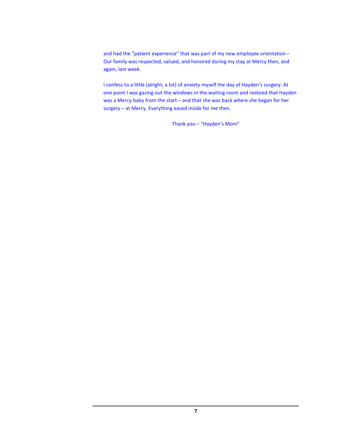and had the "patient experience" that was part of my new employee orientation – Our family was respected, valued, and honored during my stay at Mercy then, and again, last week.

I confess to a little (alright, a lot) of anxiety myself the day of Hayden's surgery. At one point I was gazing out the windows in the waiting room and realized that Hayden was a Mercy baby from the start – and that she was back where she began for her surgery – at Mercy. Everything eased inside for me then.

Thank you – "Hayden's Mom"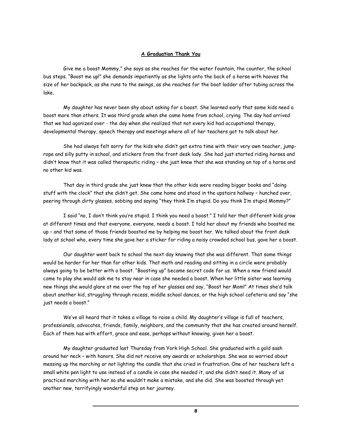#### **A Graduation Thank You**

Give me a boost Mommy," she says as she reaches for the water fountain, the counter, the school bus steps. "Boost me up!" she demands impatiently as she lights onto the back of a horse with hooves the size of her backpack, as she runs to the swings, as she reaches for the boat ladder after tubing across the lake.

My daughter has never been shy about asking for a boost. She learned early that some kids need a boost more than others. It was third grade when she came home from school, crying. The day had arrived that we had agonized over - the day when she realized that not every kid had occupational therapy, developmental therapy, speech therapy and meetings where all of her teachers got to talk about her.

She had always felt sorry for the kids who didn't get extra time with their very own teacher, jumprope and silly putty in school, and stickers from the front desk lady. She had just started riding horses and didn't know that it was called therapeutic riding – she just knew that she was standing on top of a horse and no other kid was.

That day in third grade she just knew that the other kids were reading bigger books and "doing stuff with the clock" that she didn't get. She came home and stood in the upstairs hallway – hunched over, peering through dirty glasses, sobbing and saying "they think I'm stupid. Do you think I'm stupid Mommy?"

I said "no, I don't think you're stupid. I think you need a boost." I told her that different kids grow at different times and that everyone, everyone, needs a boost. I told her about my friends who boosted me up – and that some of those friends boosted me by helping me boost her. We talked about the front desk lady at school who, every time she gave her a sticker for riding a noisy crowded school bus, gave her a boost.

Our daughter went back to school the next day knowing that she was different. That some things would be harder for her than for other kids. That math and reading and sitting in a circle were probably always going to be better with a boost. "Boosting up" became secret code for us. When a new friend would come to play she would ask me to stay near in case she needed a boost. When her little sister was learning new things she would glare at me over the top of her glasses and say, "Boost her Mom!" At times she'd talk about another kid, struggling through recess, middle school dances, or the high school cafeteria and say "she just needs a boost."

We've all heard that it takes a village to raise a child. My daughter's village is full of teachers, professionals, advocates, friends, family, neighbors, and the community that she has created around herself. Each of them has with effort, grace and ease, perhaps without knowing, given her a boost.

My daughter graduated last Thursday from York High School. She graduated with a gold sash around her neck – with honors. She did not receive any awards or scholarships. She was so worried about messing up the marching or not lighting the candle that she cried in frustration. One of her teachers left a small white pen light to use instead of a candle in case she needed it, and she didn't need it. Many of us practiced marching with her so she wouldn't make a mistake, and she did. She was boosted through yet another new, terrifyingly wonderful step on her journey.